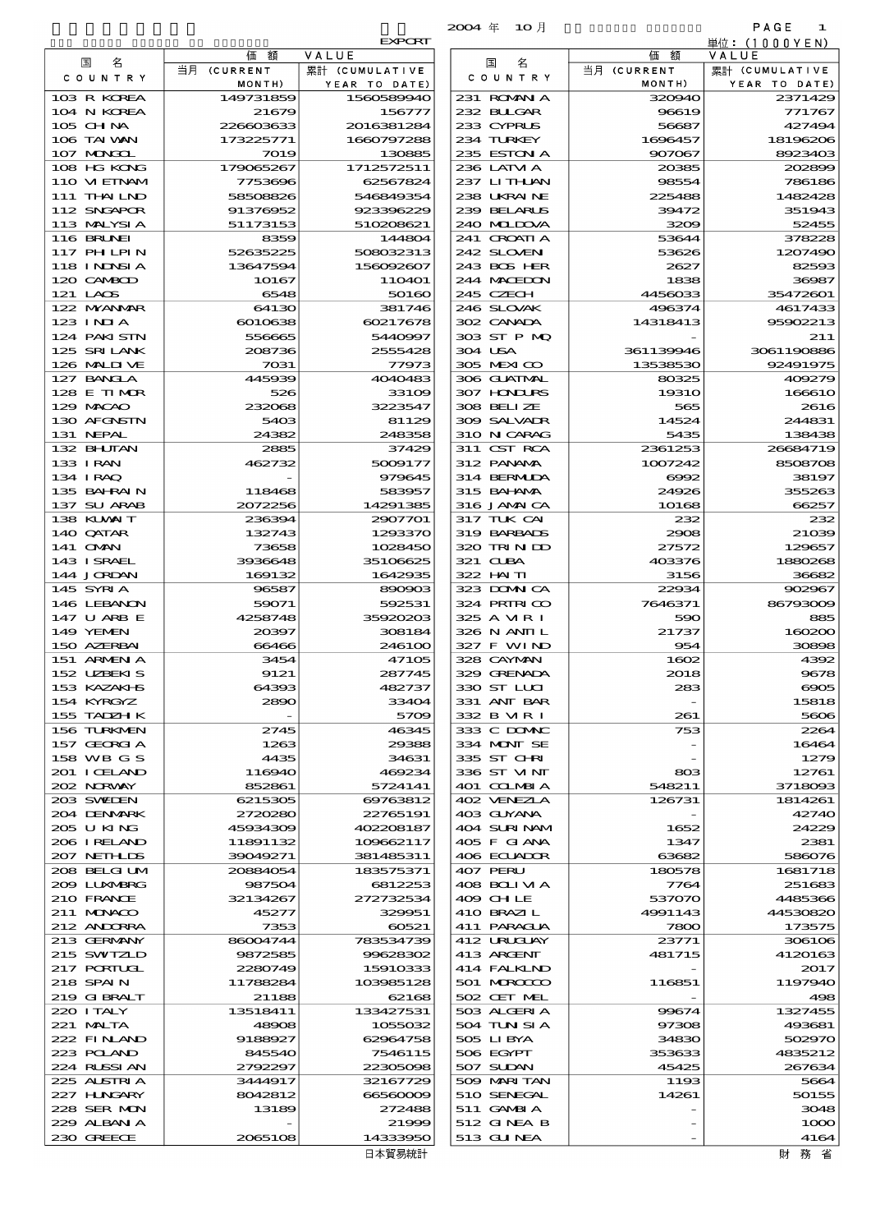|                            |                      |                             | 2004年 10月                   |                       | PAGE<br>-1               |
|----------------------------|----------------------|-----------------------------|-----------------------------|-----------------------|--------------------------|
|                            | 価                    | <b>EXPORT</b>               |                             |                       | 単位: (1000 Y E N)         |
| 名<br>国<br>C O U N T R Y    | 額<br>当月 (CURRENT     | VALUE<br>累計 (CUMULATIVE     | 名<br>国<br>C O U N T R Y     | 価額<br>当月 (CURRENT     | VALUE<br>累計 (CUMULATIVE  |
| 103 R KOREA                | MONTH)<br>149731859  | YEAR TO DATE)<br>1560589940 | 231 ROMAN A                 | MONTH)<br>320940      | YEAR TO DATE)<br>2371429 |
| 104 N KOREA                | 21679                | 156777                      | 232 BULGAR                  | 96619                 | 771767                   |
| 105 CHNA                   | 226603633            | 2016381284                  | 233 CYPRUS                  | 56687                 | 427494                   |
| 106 TAI WAN                | 173225771            | 1660797288                  | 234 TURKEY                  | 1696457               | 18196206                 |
| 107 MONGOL                 | 7019                 | 130885                      | 235 ESTON A                 | 907067                | 8923403                  |
| 108 HG KONG                | 179065267            | 1712572511                  | 236 LATM A                  | 20385                 | 202899                   |
| 110 VIETNAM<br>111 THAILND | 7753696<br>58508826  | 62567824<br>546849354       | 237 LITHLAN<br>238 UKRAINE  | 98554<br>225488       | 786186<br>1482428        |
| 112 SNGAPOR                | 91376952             | 923396229                   | 239 BELARUS                 | 39472                 | 351943                   |
| 113 MALYSIA                | 51173153             | 510208621                   | 240 MIDOVA                  | 3209                  | 52455                    |
| 116 BRUNEI                 | 8359                 | 144804                      | 241 CROATIA                 | 53644                 | 378228                   |
| 117 PHLPIN                 | 52635225             | 508032313                   | 242 SLOVEN                  | 53626                 | 1207490                  |
| 118 I NDNSI A              | 13647594             | 156092607                   | 243 BOS HER                 | 2627                  | 82593                    |
| 120 CAMBOD<br>121 LAOS     | 10167<br>6548        | 11O4O1<br>50160             | 244 MACEDON<br>245 CZECH    | 1838<br>4456033       | 36987<br>35472601        |
| 122 MYANAR                 | 64130                | 381746                      | 246 SLOVAK                  | 496374                | 4617433                  |
| 123 INJA                   | 6010638              | 60217678                    | 302 CANADA                  | 14318413              | 95902213                 |
| 124 PAKI STN               | 556665               | 5440997                     | 303 ST P MQ                 |                       | 211                      |
| 125 SRILANK                | 208736               | 2555428                     | 304 USA                     | 361139946             | 3061190886               |
| 126 MALINE                 | 7031                 | 77973                       | 305 MEXICO                  | 13538530              | 92491975                 |
| 127 BANCLA<br>128 E TIMOR  | 445939<br>526        | 4040483<br>33109            | 306 GUATMAL<br>307 HNURS    | 80325<br><b>19310</b> | 409279<br>166610         |
| 129 MACAO                  | 232068               | 3223547                     | 308 BELLZE                  | 565                   | 2616                     |
| 130 AFGNSTN                | 5403                 | 81129                       | 309 SALVADR                 | 14524                 | 244831                   |
| 131 NEPAL                  | 24382                | 248358                      | 310 N CARAG                 | 5435                  | 138438                   |
| 132 BHUTAN                 | 2885                 | 37429                       | 311 CST RCA                 | 2361253               | 26684719                 |
| 133 IRAN                   | 462732               | 5009177                     | 312 PANAMA                  | 1007242               | 8508708                  |
| 134 I RAQ                  |                      | 979645                      | 314 BERMIDA                 | 6992                  | 38197                    |
| 135 BAHRAIN<br>137 SU ARAB | 118468<br>2072256    | 583957<br>14291385          | 315 BAI ANA<br>316 JAMAICA  | 24926<br>10168        | 355263<br>66257          |
| 138 KUWAIT                 | 236394               | 2907701                     | 317 TUK CAI                 | 232                   | 232                      |
| 140 QATAR                  | 132743               | 1293370                     | 319 BARBADS                 | 2908                  | 21039                    |
| 141 OMN                    | 73658                | 1028450                     | 320 TRINDO                  | 27572                 | 129657                   |
| 143 ISRAEL                 | 3936648              | 35106625                    | 321 CUBA                    | 403376                | 1880268                  |
| 144 JORDAN<br>145 SYRIA    | 169132<br>96587      | 1642935<br>890903           | 322 HAITI<br>323 DOMNICA    | 3156<br>22934         | 36682<br>902967          |
| 146 LEBANON                | 59071                | 592531                      | 324 PRIRICO                 | 7646371               | 86793009                 |
| 147 U ARB E                | 4258748              | 35920203                    | 325 A MR I                  | 590                   | 885                      |
| 149 YEMEN                  | 20397                | 308184                      | 326 N ANII L                | 21737                 | 160200                   |
| 150 AZERBAI<br>151 ARMEN A | 66466                | 246100<br>47105             | 327 F WIND                  | 954                   | 30898<br>4392            |
| 152 UZBEKIS                | 3454<br>9121         | 287745                      | 328 CAYMAN<br>329 GRENADA   | 1602<br>2018          | 9678                     |
| 153 KAZAKHS                | 64393                | 482737                      | 330 ST LUI                  | 283                   | $\cos$                   |
| 154 KYRGYZ                 | 2890                 | 33404                       | 331 ANT BAR                 |                       | 15818                    |
| 155 TADZH K                |                      | 5709                        | 332 B MR I                  | 261                   | 5606                     |
| 156 TURKMEN                | 2745                 | 46345                       | 333 C DOMAC                 | 753                   | 2264                     |
| 157 GEORGIA<br>158 WB G S  | 1263<br>4435         | 29388<br>34631              | 334 MONT SE<br>335 ST CHRI  |                       | 16464<br>1279            |
| 201 I CELAND               | 116940               | 469234                      | 336 ST VINT                 | ങ്ങ                   | 12761                    |
| 202 N.R.WAY                | 852861               | 5724141                     | 401 COLMBIA                 | 548211                | 3718093                  |
| 203 SWIDEN                 | 6215305              | 69763812                    | 402 VENEZIA                 | 126731                | 1814261                  |
| 204 DENMARK                | 2720280              | 22765191                    | 403 GUYANA                  |                       | 42740                    |
| 205 U KING<br>206 I RELAND | 45934309<br>11891132 | 402208187<br>109662117      | 404 SURINAM<br>405 F GIANA  | 1652<br>1347          | 24229<br>2381            |
| 207 NETHLIS                | 39049271             | 381485311                   | 406 ECUADOR                 | 63682                 | 586076                   |
| 208 BELGI UM               | 20884054             | 183575371                   | 407 PERU                    | 180578                | 1681718                  |
| 2009 LUNABRG               | 987504               | 6812253                     | 408 BOLI VI A               | 7764                  | 251683                   |
| 210 FRANCE                 | 32134267             | 272732534                   | 409 CH LE                   | 537070                | 4485366                  |
| 211 MUNACO                 | 45277<br>7353        | 329951<br>60521             | 410 BRAZIL                  | 4991143               | 44530820                 |
| 212 ANDORRA<br>213 GERMANY | 86004744             | 783534739                   | 411 PARAGUA<br>412 URUCUAY  | 7800<br>23771         | 173575<br>306106         |
| 215 SWIZLD                 | 9872585              | 99628302                    | 413 ARGENT                  | 481715                | 4120163                  |
| 217 PORTUGL                | 2280749              | 15910333                    | 414 FALKIND                 |                       | 2017                     |
| 218 SPAIN                  | 11788284             | 103985128                   | 501 MROCCO                  | 116851                | 1197940                  |
| 219 GIBRALT                | 21188                | 62168                       | 502 CET MEL                 |                       | 498                      |
| 220 I TALY<br>221 MALTA    | 13518411<br>48908    | 133427531<br>1055032        | 503 ALGERIA<br>504 TUN SI A | 99674<br>97308        | 1327455<br>493681        |
| 222 FINAND                 | 9188927              | 62964758                    | 505 LIBYA                   | 34830                 | 502970                   |
| 223 POLAND                 | 845540               | 7546115                     | 506 EGYPT                   | 353633                | 4835212                  |
| 224 RUSSI AN               | 2792297              | 22305098                    | 507 SUDAN                   | 45425                 | 267634                   |
| 225 ALSTRIA                | 3444917              | 32167729                    | 509 MARITAN                 | 1193                  | 5664                     |
| 227 H.NGARY<br>228 SER MON | 8042812<br>13189     | 66560009<br>272488          | 510 SENEGAL<br>511 GAMBIA   | 14261                 | 50155<br>3048            |
| 229 ALBAN A                |                      | 21999                       | 512 GINEA B                 |                       | 1000                     |
| 230 GREECE                 | 2065108              | 14333950                    | $513$ GINFA                 |                       | 4164                     |

|                                    |                          | <b>EXPORT</b>                   |                            |                       | 単位: (1000 Y E N )               |
|------------------------------------|--------------------------|---------------------------------|----------------------------|-----------------------|---------------------------------|
| 国<br>名                             | 額<br>価                   | VALUE                           | 国<br>名                     | 価額                    | VALUE                           |
| COUNTRY                            | 当月 (CURRENT<br>MONTH)    | 累計 (CUMULATIVE<br>YEAR TO DATE) | COUNTRY                    | 当月 (CURRENT<br>MONTH) | 累計 (CUMULATIVE<br>YEAR TO DATE) |
| 103 R KOREA                        | 149731859                | 1560589940                      | 231 ROMANIA                | 320940                | 2371429                         |
| 104 N KOREA                        | 21679                    | 156777                          | 232 BUGAR                  | 96619                 | 771767                          |
| 105 CHNA                           | 226603633                | 2016381284                      | 233 CYPRUS                 | 56687                 | 427494                          |
| 106 TAI WAN                        | 173225771                | 1660797288                      | 234 TURKEY                 | 1696457               | 18196206                        |
| 107 MONGOL<br>108 HG KONG          | 7019<br>179065267        | 130885<br>1712572511            | 235 ESTON A<br>236 LATM A  | 907067<br>20385       | 8923403<br>202896               |
| 110 VIEINAM                        | 7753696                  | 62567824                        | 237 LITHLAN                | 98554                 | 786186                          |
| 111 THAILND                        | 58508826                 | 546849354                       | 238 UKRAINE                | 225488                | 1482428                         |
| 112 SNGAPOR                        | 91376952                 | 923396229                       | 239 BELARUS                | 39472                 | 351943                          |
| 113 MALYSIA                        | 51173153                 | 510208621                       | 240 MIDOVA                 | 3209                  | 52455                           |
| 116 BRUNEI                         | 8359                     | 144804                          | 241 CROATIA                | 53644                 | 378225                          |
| <b>117 PHLPIN</b><br>118 I NINSI A | 52635225<br>13647594     | 508032313<br>156092607          | 242 SLOVEN<br>243 BOS HER  | 53626<br>2627         | 1207490<br>82590                |
| 120 CAMBOD                         | 10167                    | 11O4O1                          | 244 MACEDON                | 1838                  | 36987                           |
| 121 LAOS                           | 6548                     | 50160                           | 245 CZECH                  | 4456033               | 35472601                        |
| 122 MYANMAR                        | 64130                    | 381746                          | 246 SLOVAK                 | 496374                | 4617433                         |
| $123$ INJA                         | 6010638                  | 60217678                        | 302 CANADA                 | 14318413              | 95902213                        |
| 124 PAKI STN                       | 556665                   | 5440997                         | 303 ST P MQ                |                       | 211                             |
| 125 SRILANK<br>126 MALII VE        | 208736<br>7031           | 2555428<br>77973                | 304 USA<br>305 MEXICO      | 361139946<br>13538530 | 3061190886<br>92491975          |
| 127 BANCLA                         | 445939                   | 4040483                         | 306 GUATMAL                | 80325                 | 409279                          |
| 128 E TIMOR                        | 526                      | 33109                           | 307 HONDURS                | <b>19310</b>          | 166610                          |
| 129 MACAO                          | 232068                   | 3223547                         | 308 BELIZE                 | 565                   | 2616                            |
| 130 AFGNSTN                        | 5403                     | 81129                           | 309 SALVAIR                | 14524                 | 244831                          |
| 131 NEPAL                          | 24382                    | 248358                          | 310 N CARAG                | 5435                  | 138438                          |
| 132 BHUTAN                         | 2885                     | 37429                           | 311 CST RCA                | 2361253               | 26684719                        |
| 133 I RAN<br>134 IRAQ              | 462732                   | 5009177<br>979645               | 312 PANAMA<br>314 BERMIDA  | 1007242<br>6002       | 8508706<br>38197                |
| 135 BAHRAIN                        | 118468                   | 583957                          | 315 BAI ANA                | 24926                 | 355263                          |
| 137 SU ARAB                        | 2072256                  | 14291385                        | 316 JAMAICA                | 10168                 | 66257                           |
| 138 KUWAIT                         | 236394                   | 2907701                         | 317 TUK CAI                | 232                   | 232                             |
| 140 QATAR                          | 132743                   | 1293370                         | 319 BARBADS                | 2908                  | 210 <sup>3</sup>                |
| 141 <b>OMN</b>                     | 73658                    | 1028450                         | 320 TRIN ID                | 27572                 | 129657                          |
| 143 ISRAEL<br>144 JORDAN           | 3936648<br>169132        | 35106625<br>1642935             | 321 CLBA<br>322 HAITI      | 403376<br>3156        | 1880265<br>36682                |
| 145 SYRIA                          | 96587                    | 890903                          | 323 DOMNICA                | 22934                 | 902967                          |
| 146 LEBANON                        | 59071                    | 592531                          | 324 PRIRICO                | 7646371               | <b>86793000</b>                 |
| 147 U ARB E                        | 4258748                  | 35920203                        | 325 A MR I                 | 590                   | 885                             |
| 149 YEMEN                          | 20397                    | 308184                          | 326 N ANII L               | 21737                 | 160200                          |
| 150 AZERBAI                        | 66466                    | 246100                          | 327 F WIND                 | 954                   | 30896                           |
| 151 ARMENIA<br>152 UZBEKIS         | 3454<br>9121             | 47105<br>287745                 | 328 CAYMAN<br>329 GRENADA  | 1602<br>2018          | 4392<br>9678                    |
| 153 KAZAKI B                       | 64393                    | 482737                          | 330 ST LUI                 | 283                   | $\infty$                        |
| 154 KYRGYZ                         | 2890                     | 33404                           | 331 ANT BAR                |                       | 15818                           |
| 155 TADZH K                        | $\overline{\phantom{a}}$ | 5709                            | 332 B MR I                 | 261                   | 5606                            |
| 156 TURKMEN                        | 2745                     | 46345                           | 333 C DOMAC                | 753                   | 2264                            |
| 157 GEORGIA<br>158 WB G S          | 1263<br>4435             | 29388<br>34631                  | 334 MONT SE<br>335 ST CHRI |                       | 1646<br>1275                    |
| 201 ICELAND                        | 116940                   | 469234                          | 336 ST VINT                | 803                   | 12761                           |
| 202 NORWAY                         | 852861                   | 5724141                         | 401 COLMBIA                | 548211                | 3718090                         |
| 203 SWILEN                         | 6215305                  | 69763812                        | 402 VENEZIA                | 126731                | 1814261                         |
| 204 DENMARK                        | 2720280                  | 22765191                        | 403 GUYANA                 |                       | 42740                           |
| 205 U KING                         | 45934309                 | 402208187                       | 404 SURINAM                | 1652                  | 24229                           |
| 206 I RELAND<br>207 NETHLIS        | 11891132                 | 109662117<br>381485311          | 405 F GIANA<br>406 ECUADOR | 1347<br>63682         | 2381<br>586076                  |
| 208 BELGI UM                       | 39049271<br>20884054     | 183575371                       | 407 PERU                   | 180578                | 1681718                         |
| 209 LUNABRG                        | 987504                   | 6812253                         | 408 BOLIVIA                | 7764                  | 251683                          |
| 210 FRANCE                         | 32134267                 | 272732534                       | 409 CHLE                   | 537070                | 4485366                         |
| 211 MUNACO                         | 45277                    | 329951                          | 410 BRAZIL                 | 4991143               | 44530820                        |
| 212 ANDORRA                        | 7353                     | 60521                           | 411 PARAGUA                | 7800                  | 173575                          |
| 213 GERMANY<br>215 SWIZLD          | 86004744<br>9872585      | 783534739<br>99628302           | 412 URUCUAY<br>413 ARGENT  | 23771<br>481715       | 306106<br>4120163               |
| 217 PORTUGL                        | 2280749                  | 15910333                        | 414 FALKLND                |                       | 2017                            |
| 218 SPAIN                          | 11788284                 | 103985128                       | 501 MROCCO                 | 116851                | 1197940                         |
| 219 GIBRALT                        | 21188                    | 62168                           | 502 CET MEL                |                       | 496                             |
| 220 I TALY                         | 13518411                 | 133427531                       | 503 ALGERIA                | 99674                 | 1327455                         |
| 221 MALTA                          | 48908                    | 1055032                         | 504 TUN SI A               | 97308                 | 493681                          |
| 222 FINAND<br>223 POLAND           | 9188927<br>845540        | 62964758<br>7546115             | 505 LIBYA<br>506 EGYPT     | 34830<br>353633       | 502970<br>4835212               |
| 224 RUSSI AN                       | 2792297                  | 22305098                        | 507 SUDAN                  | 45425                 | 267634                          |
| 225 ALSTRIA                        | 3444917                  | 32167729                        | 509 MARITAN                | 1193                  | 5664                            |
| 227 HUNGARY                        | 8042812                  | 66560009                        | 510 SENEGAL                | 14261                 | 50155                           |
| 228 SER MON                        | 13189                    | 272488                          | 511 GAMBIA                 |                       | 3045                            |
| 229 ALBAN A                        |                          | 21999                           | 512 GINEA B                |                       | 1000                            |
| 230 GREECE                         | 2065108                  | 14333950                        | 513 GUNEA                  |                       | 4164                            |
|                                    |                          | 日本貿易統計                          |                            |                       | 財 務 省                           |